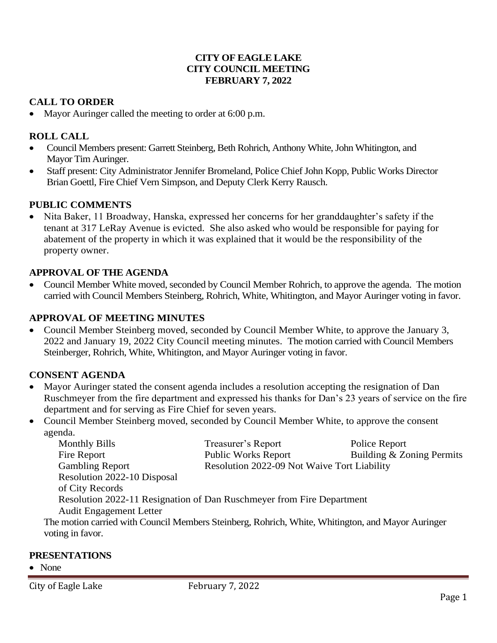### **CITY OF EAGLE LAKE CITY COUNCIL MEETING FEBRUARY 7, 2022**

## **CALL TO ORDER**

• Mayor Auringer called the meeting to order at 6:00 p.m.

### **ROLL CALL**

- Council Members present: Garrett Steinberg, Beth Rohrich, Anthony White, John Whitington, and Mayor Tim Auringer.
- Staff present: City Administrator Jennifer Bromeland, Police Chief John Kopp, Public Works Director Brian Goettl, Fire Chief Vern Simpson, and Deputy Clerk Kerry Rausch.

### **PUBLIC COMMENTS**

• Nita Baker, 11 Broadway, Hanska, expressed her concerns for her granddaughter's safety if the tenant at 317 LeRay Avenue is evicted. She also asked who would be responsible for paying for abatement of the property in which it was explained that it would be the responsibility of the property owner.

### **APPROVAL OF THE AGENDA**

• Council Member White moved, seconded by Council Member Rohrich, to approve the agenda. The motion carried with Council Members Steinberg, Rohrich, White, Whitington, and Mayor Auringer voting in favor.

### **APPROVAL OF MEETING MINUTES**

• Council Member Steinberg moved, seconded by Council Member White, to approve the January 3, 2022 and January 19, 2022 City Council meeting minutes. The motion carried with Council Members Steinberger, Rohrich, White, Whitington, and Mayor Auringer voting in favor.

## **CONSENT AGENDA**

- Mayor Auringer stated the consent agenda includes a resolution accepting the resignation of Dan Ruschmeyer from the fire department and expressed his thanks for Dan's 23 years of service on the fire department and for serving as Fire Chief for seven years.
- Council Member Steinberg moved, seconded by Council Member White, to approve the consent agenda.

| <b>Monthly Bills</b>                                                  | Treasurer's Report                                                                                | Police Report             |
|-----------------------------------------------------------------------|---------------------------------------------------------------------------------------------------|---------------------------|
| Fire Report                                                           | <b>Public Works Report</b>                                                                        | Building & Zoning Permits |
| <b>Gambling Report</b>                                                | Resolution 2022-09 Not Waive Tort Liability                                                       |                           |
| Resolution 2022-10 Disposal                                           |                                                                                                   |                           |
| of City Records                                                       |                                                                                                   |                           |
| Resolution 2022-11 Resignation of Dan Ruschmeyer from Fire Department |                                                                                                   |                           |
| <b>Audit Engagement Letter</b>                                        |                                                                                                   |                           |
|                                                                       | The motion carried with Council Members Steinberg, Rohrich, White, Whitington, and Mayor Auringer |                           |
| voting in favor.                                                      |                                                                                                   |                           |
|                                                                       |                                                                                                   |                           |

#### **PRESENTATIONS**

• None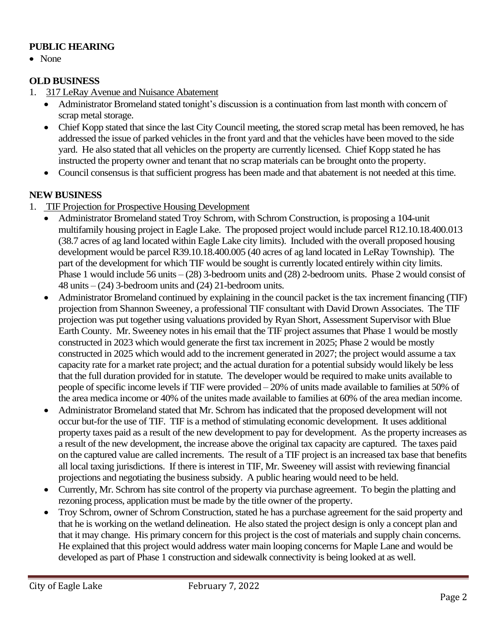## **PUBLIC HEARING**

• None

## **OLD BUSINESS**

- 1. 317 LeRay Avenue and Nuisance Abatement
	- Administrator Bromeland stated tonight's discussion is a continuation from last month with concern of scrap metal storage.
	- Chief Kopp stated that since the last City Council meeting, the stored scrap metal has been removed, he has addressed the issue of parked vehicles in the front yard and that the vehicles have been moved to the side yard. He also stated that all vehicles on the property are currently licensed. Chief Kopp stated he has instructed the property owner and tenant that no scrap materials can be brought onto the property.
	- Council consensus is that sufficient progress has been made and that abatement is not needed at this time.

## **NEW BUSINESS**

- 1. TIF Projection for Prospective Housing Development
	- Administrator Bromeland stated Troy Schrom, with Schrom Construction, is proposing a 104-unit multifamily housing project in Eagle Lake. The proposed project would include parcel R12.10.18.400.013 (38.7 acres of ag land located within Eagle Lake city limits). Included with the overall proposed housing development would be parcel R39.10.18.400.005 (40 acres of ag land located in LeRay Township). The part of the development for which TIF would be sought is currently located entirely within city limits. Phase 1 would include 56 units – (28) 3-bedroom units and (28) 2-bedroom units. Phase 2 would consist of 48 units – (24) 3-bedroom units and (24) 21-bedroom units.
	- Administrator Bromeland continued by explaining in the council packet is the tax increment financing (TIF) projection from Shannon Sweeney, a professional TIF consultant with David Drown Associates. The TIF projection was put together using valuations provided by Ryan Short, Assessment Supervisor with Blue Earth County. Mr. Sweeney notes in his email that the TIF project assumes that Phase 1 would be mostly constructed in 2023 which would generate the first tax increment in 2025; Phase 2 would be mostly constructed in 2025 which would add to the increment generated in 2027; the project would assume a tax capacity rate for a market rate project; and the actual duration for a potential subsidy would likely be less that the full duration provided for in statute. The developer would be required to make units available to people of specific income levels if TIF were provided – 20% of units made available to families at 50% of the area medica income or 40% of the unites made available to families at 60% of the area median income.
	- Administrator Bromeland stated that Mr. Schrom has indicated that the proposed development will not occur but-for the use of TIF. TIF is a method of stimulating economic development. It uses additional property taxes paid as a result of the new development to pay for development. As the property increases as a result of the new development, the increase above the original tax capacity are captured. The taxes paid on the captured value are called increments. The result of a TIF project is an increased tax base that benefits all local taxing jurisdictions. If there is interest in TIF, Mr. Sweeney will assist with reviewing financial projections and negotiating the business subsidy. A public hearing would need to be held.
	- Currently, Mr. Schrom has site control of the property via purchase agreement. To begin the platting and rezoning process, application must be made by the title owner of the property.
	- Troy Schrom, owner of Schrom Construction, stated he has a purchase agreement for the said property and that he is working on the wetland delineation. He also stated the project design is only a concept plan and that it may change. His primary concern for this project is the cost of materials and supply chain concerns. He explained that this project would address water main looping concerns for Maple Lane and would be developed as part of Phase 1 construction and sidewalk connectivity is being looked at as well.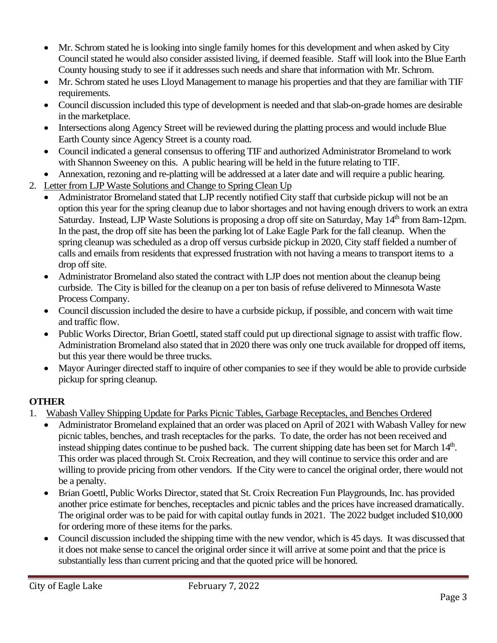- Mr. Schrom stated he is looking into single family homes for this development and when asked by City Council stated he would also consider assisted living, if deemed feasible. Staff will look into the Blue Earth County housing study to see if it addresses such needs and share that information with Mr. Schrom.
- Mr. Schrom stated he uses Lloyd Management to manage his properties and that they are familiar with TIF requirements.
- Council discussion included this type of development is needed and that slab-on-grade homes are desirable in the marketplace.
- Intersections along Agency Street will be reviewed during the platting process and would include Blue Earth County since Agency Street is a county road.
- Council indicated a general consensus to offering TIF and authorized Administrator Bromeland to work with Shannon Sweeney on this. A public hearing will be held in the future relating to TIF.
- Annexation, rezoning and re-platting will be addressed at a later date and will require a public hearing.
- 2. Letter from LJP Waste Solutions and Change to Spring Clean Up
	- Administrator Bromeland stated that LJP recently notified City staff that curbside pickup will not be an option this year for the spring cleanup due to labor shortages and not having enough drivers to work an extra Saturday. Instead, LJP Waste Solutions is proposing a drop off site on Saturday, May 14<sup>th</sup> from 8am-12pm. In the past, the drop off site has been the parking lot of Lake Eagle Park for the fall cleanup. When the spring cleanup was scheduled as a drop off versus curbside pickup in 2020, City staff fielded a number of calls and emails from residents that expressed frustration with not having a means to transport items to a drop off site.
	- Administrator Bromeland also stated the contract with LJP does not mention about the cleanup being curbside. The City is billed for the cleanup on a per ton basis of refuse delivered to Minnesota Waste Process Company.
	- Council discussion included the desire to have a curbside pickup, if possible, and concern with wait time and traffic flow.
	- Public Works Director, Brian Goettl, stated staff could put up directional signage to assist with traffic flow. Administration Bromeland also stated that in 2020 there was only one truck available for dropped off items, but this year there would be three trucks.
	- Mayor Auringer directed staff to inquire of other companies to see if they would be able to provide curbside pickup for spring cleanup.

# **OTHER**

- 1. Wabash Valley Shipping Update for Parks Picnic Tables, Garbage Receptacles, and Benches Ordered
	- Administrator Bromeland explained that an order was placed on April of 2021 with Wabash Valley for new picnic tables, benches, and trash receptacles for the parks. To date, the order has not been received and instead shipping dates continue to be pushed back. The current shipping date has been set for March 14<sup>th</sup>. This order was placed through St. Croix Recreation, and they will continue to service this order and are willing to provide pricing from other vendors. If the City were to cancel the original order, there would not be a penalty.
	- Brian Goettl, Public Works Director, stated that St. Croix Recreation Fun Playgrounds, Inc. has provided another price estimate for benches, receptacles and picnic tables and the prices have increased dramatically. The original order was to be paid for with capital outlay funds in 2021. The 2022 budget included \$10,000 for ordering more of these items for the parks.
	- Council discussion included the shipping time with the new vendor, which is 45 days. It was discussed that it does not make sense to cancel the original order since it will arrive at some point and that the price is substantially less than current pricing and that the quoted price will be honored.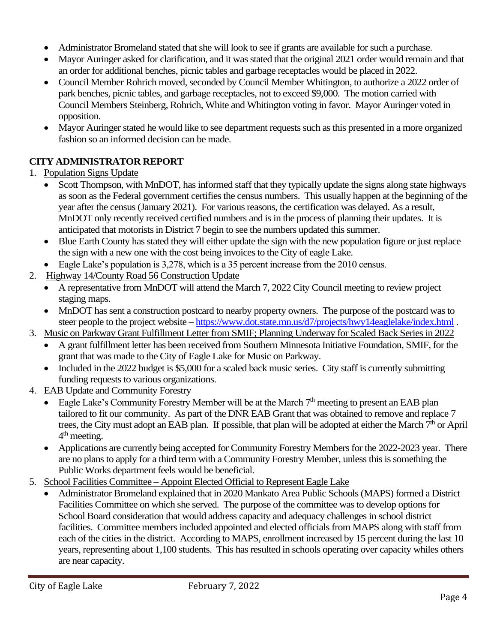- Administrator Bromeland stated that she will look to see if grants are available for such a purchase.
- Mayor Auringer asked for clarification, and it was stated that the original 2021 order would remain and that an order for additional benches, picnic tables and garbage receptacles would be placed in 2022.
- Council Member Rohrich moved, seconded by Council Member Whitington, to authorize a 2022 order of park benches, picnic tables, and garbage receptacles, not to exceed \$9,000. The motion carried with Council Members Steinberg, Rohrich, White and Whitington voting in favor. Mayor Auringer voted in opposition.
- Mayor Auringer stated he would like to see department requests such as this presented in a more organized fashion so an informed decision can be made.

# **CITY ADMINISTRATOR REPORT**

## 1. Population Signs Update

- Scott Thompson, with MnDOT, has informed staff that they typically update the signs along state highways as soon as the Federal government certifies the census numbers. This usually happen at the beginning of the year after the census (January 2021). For various reasons, the certification was delayed. As a result, MnDOT only recently received certified numbers and is in the process of planning their updates. It is anticipated that motorists in District 7 begin to see the numbers updated this summer.
- Blue Earth County has stated they will either update the sign with the new population figure or just replace the sign with a new one with the cost being invoices to the City of eagle Lake.
- Eagle Lake's population is 3,278, which is a 35 percent increase from the 2010 census.
- 2. Highway 14/County Road 56 Construction Update
	- A representative from MnDOT will attend the March 7, 2022 City Council meeting to review project staging maps.
	- MnDOT has sent a construction postcard to nearby property owners. The purpose of the postcard was to steer people to the project website – <https://www.dot.state.mn.us/d7/projects/hwy14eaglelake/index.html> .
- 3. Music on Parkway Grant Fulfillment Letter from SMIF; Planning Underway for Scaled Back Series in 2022
	- A grant fulfillment letter has been received from Southern Minnesota Initiative Foundation, SMIF, for the grant that was made to the City of Eagle Lake for Music on Parkway.
	- Included in the 2022 budget is \$5,000 for a scaled back music series. City staff is currently submitting funding requests to various organizations.
- 4. EAB Update and Community Forestry
	- Eagle Lake's Community Forestry Member will be at the March  $7<sup>th</sup>$  meeting to present an EAB plan tailored to fit our community. As part of the DNR EAB Grant that was obtained to remove and replace 7 trees, the City must adopt an EAB plan. If possible, that plan will be adopted at either the March  $7<sup>th</sup>$  or April 4<sup>th</sup> meeting.
	- Applications are currently being accepted for Community Forestry Members for the 2022-2023 year. There are no plans to apply for a third term with a Community Forestry Member, unless this is something the Public Works department feels would be beneficial.
- 5. School Facilities Committee Appoint Elected Official to Represent Eagle Lake
	- Administrator Bromeland explained that in 2020 Mankato Area Public Schools (MAPS) formed a District Facilities Committee on which she served. The purpose of the committee was to develop options for School Board consideration that would address capacity and adequacy challenges in school district facilities. Committee members included appointed and elected officials from MAPS along with staff from each of the cities in the district. According to MAPS, enrollment increased by 15 percent during the last 10 years, representing about 1,100 students. This has resulted in schools operating over capacity whiles others are near capacity.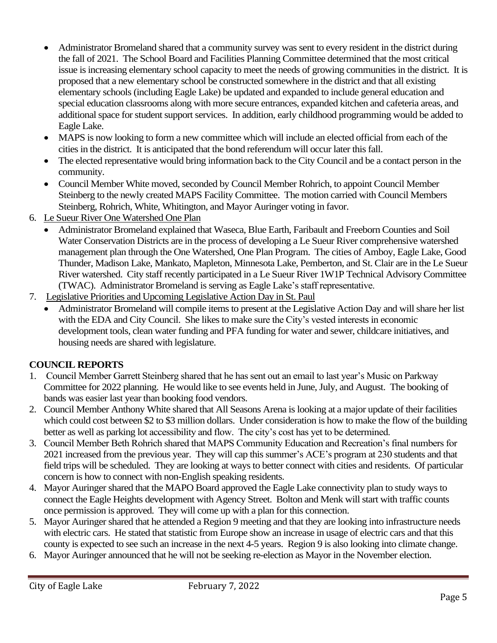- Administrator Bromeland shared that a community survey was sent to every resident in the district during the fall of 2021. The School Board and Facilities Planning Committee determined that the most critical issue is increasing elementary school capacity to meet the needs of growing communities in the district. It is proposed that a new elementary school be constructed somewhere in the district and that all existing elementary schools (including Eagle Lake) be updated and expanded to include general education and special education classrooms along with more secure entrances, expanded kitchen and cafeteria areas, and additional space for student support services. In addition, early childhood programming would be added to Eagle Lake.
- MAPS is now looking to form a new committee which will include an elected official from each of the cities in the district. It is anticipated that the bond referendum will occur later this fall.
- The elected representative would bring information back to the City Council and be a contact person in the community.
- Council Member White moved, seconded by Council Member Rohrich, to appoint Council Member Steinberg to the newly created MAPS Facility Committee. The motion carried with Council Members Steinberg, Rohrich, White, Whitington, and Mayor Auringer voting in favor.
- 6. Le Sueur River One Watershed One Plan
	- Administrator Bromeland explained that Waseca, Blue Earth, Faribault and Freeborn Counties and Soil Water Conservation Districts are in the process of developing a Le Sueur River comprehensive watershed management plan through the One Watershed, One Plan Program. The cities of Amboy, Eagle Lake, Good Thunder, Madison Lake, Mankato, Mapleton, Minnesota Lake, Pemberton, and St. Clair are in the Le Sueur River watershed. City staff recently participated in a Le Sueur River 1W1P Technical Advisory Committee (TWAC). Administrator Bromeland is serving as Eagle Lake's staff representative.
- 7. Legislative Priorities and Upcoming Legislative Action Day in St. Paul
	- Administrator Bromeland will compile items to present at the Legislative Action Day and will share her list with the EDA and City Council. She likes to make sure the City's vested interests in economic development tools, clean water funding and PFA funding for water and sewer, childcare initiatives, and housing needs are shared with legislature.

## **COUNCIL REPORTS**

- 1. Council Member Garrett Steinberg shared that he has sent out an email to last year's Music on Parkway Committee for 2022 planning. He would like to see events held in June, July, and August. The booking of bands was easier last year than booking food vendors.
- 2. Council Member Anthony White shared that All Seasons Arena is looking at a major update of their facilities which could cost between \$2 to \$3 million dollars. Under consideration is how to make the flow of the building better as well as parking lot accessibility and flow. The city's cost has yet to be determined.
- 3. Council Member Beth Rohrich shared that MAPS Community Education and Recreation's final numbers for 2021 increased from the previous year. They will cap this summer's ACE's program at 230 students and that field trips will be scheduled. They are looking at ways to better connect with cities and residents. Of particular concern is how to connect with non-English speaking residents.
- 4. Mayor Auringer shared that the MAPO Board approved the Eagle Lake connectivity plan to study ways to connect the Eagle Heights development with Agency Street. Bolton and Menk will start with traffic counts once permission is approved. They will come up with a plan for this connection.
- 5. Mayor Auringer shared that he attended a Region 9 meeting and that they are looking into infrastructure needs with electric cars. He stated that statistic from Europe show an increase in usage of electric cars and that this county is expected to see such an increase in the next 4-5 years. Region 9 is also looking into climate change.
- 6. Mayor Auringer announced that he will not be seeking re-election as Mayor in the November election.